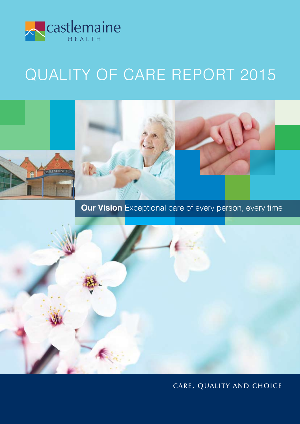

# QUALITY OF CARE REPORT 2015



**Our Vision** Exceptional care of every person, every time



# CARE, QUALITY AND CHOICE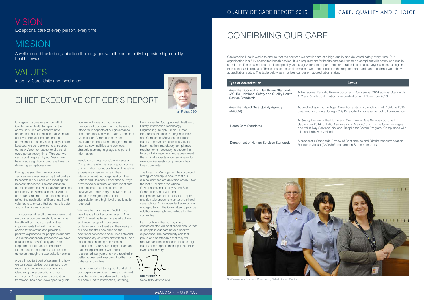## QUALITY OF CARE REPORT 2015 CARE, QUALITY AND CHOICE

# **VISION**

# Chief Executive Officer's Report

It is again my pleasure on behalf of Castlemaine Health to report to the community. The activities we have undertaken and the results that we have achieved this year demonstrate our commitment to safety and quality of care. Last year we were excited to announce our new Vision for 'exceptional care of every person every time'. This year we can report, inspired by our Vision, we have made significant progress towards delivering exceptional care.

During the year the majority of our services were resurveyed by third parties to ascertain if our care was meeting the relevant standards. The accreditation outcomes from our National Standards on acute services were successful with all core standards met. The excellent results reflect the dedication of Board, staff and volunteers to ensure that our care is safe and of the highest quality.

This successful result does not mean that we can rest on our laurels. Castlemaine Health will continue to seek further improvements that will maintain our accreditation status and provide a positive experience for people in our care. To sustain our quality processes we have established a new Quality and Risk Department that has responsibility to further develop our quality culture and guide us through the accreditation cycles.

A very important part of determining how we can better deliver our services is by receiving input from consumers and identifying the expectations of our community. A consumer participation framework has been developed to guide

how we will assist consumers and members of our community to have input into various aspects of our governance and operational activities. Our Community Consultation Committee provides invaluable feedback on a range of matters such as new facilities and services, strategic planning, signage and patient information.

**Ian Fisher** *Chief Executive Officer*

Feedback through our Compliments and Complaints system is also a good source of information about positive and negative experiences people have in their interactions with our organisation. The Patient and Resident Experience surveys provide value information from inpatients and residents. Our results from the surveys were extremely positive and our staff can take great pride in the appreciation and high level of satisfaction recorded.

We have had a full year of utilising our new theatre facilities completed in May 2014. There has been increased activity and wider range of procedures undertaken in our theatres. The quality of our new theatres has enabled the additional services to occur in a safe and contemporary environment with skilful and experienced nursing and medical practitioners. Our Acute, Urgent Care and main reception areas were also refurbished last year and have resulted in better access and improved facilities for patients and visitors.

**VALUES** Integrity, Care, Unity and Excellence

> It is also important to highlight that all of our corporate services make a significant contribution to the safety and quality of our care. Health Information, Catering,

Environmental, Occupational Health and Safety, Information Technology, Engineering, Supply, Linen, Human Resources, Finance, Emergency, Risk and Compliance Services undertake quality improvement activities. All also have met their mandatory compliance requirements necessary to assure the Board of Management and Government that critical aspects of our services – for example fire safety compliance – has been completed.

The Board of Management has provided strong leadership to ensure that our clinical services are delivered safely. Over the last 12 months the Clinical Governance and Quality Board Sub-Committee has developed a comprehensive set of indicators, reports and risk tolerances to monitor the clinical care activity. An independent advisor was engaged to join the Committee to provide additional oversight and advice for the committee.

I am confident that our loyal and dedicated staff will continue to ensure that all people in our care have a positive experience. The community can feel proud and comfortable that they will receive care that is accessible, safe, high quality and respects their input into their own care delivery.

# Confirming Our Care

Castlemaine Health works to ensure that the services we provide are of a high quality and delivered safely every time. Our organisation is a fully accredited health service. It is a requirement for health care facilities to be compliant with safety and quality standards. These standards are developed by various government departments and trained external surveyors assess us against these standards regularly. These assessments determine if we meet or exceed the required standards and confirm if we achieve accreditation status. The table below summarises our current accreditation status.

| <b>Type of Accreditation</b>                                                                                   | <b>Status</b>                                                                                                                                                   |
|----------------------------------------------------------------------------------------------------------------|-----------------------------------------------------------------------------------------------------------------------------------------------------------------|
| Australian Council on Healthcare Standards<br>(ACHS) – National Safety and Quality Health<br>Service Standards | A Transitional Periodic Review occurred in S<br>1, 2 and 3 with confirmation of accreditation                                                                   |
| Australian Aged Care Quality Agency<br>(AACQA)                                                                 | Accredited against the Aged Care Accredit<br>Unannounced visits during 2014/15 resulte                                                                          |
| Home Care Standards                                                                                            | A Quality Review of the Home and Commu<br>September 2014 for HACC services and Ma<br>and Adult Day Services' National Respite fo<br>all standards was verified. |
| Department of Human Services Standards                                                                         | A successful Standards Review of Castlem<br>Resource Group (CADARG) occurred in Se                                                                              |

Exceptional care of every person, every time.

# **MISSION**

A well run and trusted organisation that engages with the community to provide high quality health services.





Staff members from our Community Rehabilitation Centre.



riodic Review occurred in September 2014 against Standards onfirmation of accreditation until November 2016.

Act the Aged Care Accreditation Standards until 13 June 2018. sits during 2014/15 resulted in assessment of full compliance.

of the Home and Community Care Services occurred in for HACC services and May 2015 for Home Care Packages ervices' National Respite for Carers Program. Compliance with haiting *a* 

ndards Review of Castlemaine and District Accommodation (CADARG) occurred in September 2013.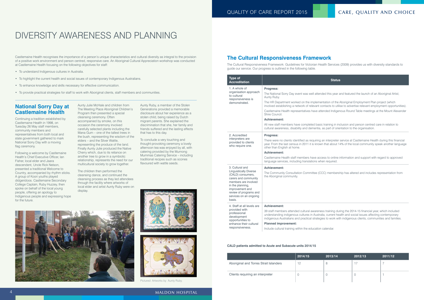Aunty Julie McHale and children from The Meeting Place Aboriginal Children's Program then presented a special cleansing ceremony. Often accompanied by smoke, on this occasion the ceremony involved carefully selected plants including the Mana Gum – one of the tallest trees in the bush, representing the wisdom of the elders – and the Silver Wattle, representing the produce of the land. Finally Aunty Julie produced the Native Cherry which, due to its reliance on another tree to grow in a symbiotic relationship, represents the need for our multicultural society to grow together.

To conclude a very touching and thought-provoking ceremony a lovely afternoon tea was enjoyed by all, with catering provided by the Murnong Mummas Catering Service – including traditional recipes such as scones flavoured with wattle seeds.





The children then performed the cleansing dance, and continued the cleansing process as they led attendees through the facility where artworks of local elder and artist Aunty Ruby were on display.

Aunty Ruby, a member of the Stolen Generations provided a memorable disclosure about her experience as a stolen child, being raised by Dutch migrant parents. She explained the discrimination that she, her family and friends suffered and the lasting effects that has to this day.

## **National Sorry Day at Castlemaine Health**

Continuing a tradition established by Castlemaine Health in 1998, on Tuesday 26 May staff members, community members and representatives from both local and state government gathered to mark National Sorry Day with a moving flag ceremony.

Following a welcome by Castlemaine Health's Chief Executive Officer, Ian Fisher, local elder and Jaara descendent, Uncle Rick Nelson, presented a traditional Welcome to Country, accompanied by rhythm sticks. A group of Koori youths played didgeridoos. Castlemaine Secondary College Captain, Ruby Huzzey, then spoke on behalf of the local young people, offering an apology to Indigenous people and expressing hope for the future.

# **The Cultural Responsiveness Framework**

The Cultural Responsiveness Framework: Guidelines for Victorian Health Services (2009) provides us with diversity standards to guide our service. Our progress is outlined in the following table.

### **CALD patients admitted to Acute and Subacute units 2014/15**

| <b>Type of</b><br><b>Accreditation</b>                                                                                                                                                                                     | Status                                                                                                                                                                                                                                                                                                                                                                                            |
|----------------------------------------------------------------------------------------------------------------------------------------------------------------------------------------------------------------------------|---------------------------------------------------------------------------------------------------------------------------------------------------------------------------------------------------------------------------------------------------------------------------------------------------------------------------------------------------------------------------------------------------|
| 1. A whole of<br>organisation approach<br>to cultural<br>responsiveness is<br>demonstrated.                                                                                                                                | Progress:<br>The National Sorry Day event was well attended this year a<br>Aunty Ruby.<br>The HR Department worked on the implementation of the A<br>involved establishing a network of relevant contacts to utilis<br>Castlemaine Health representatives have attended Indigen<br>Shire Council.<br><b>Achievement:</b><br>All new staff members have completed basic training in ind            |
| 2. Accredited<br>interpreters are<br>provided to clients<br>who require one.                                                                                                                                               | cultural awareness, disability and dementia, as part of orie<br><b>Progress:</b><br>There were no clients identified as requiring an interpreter :<br>year. From the last census in 2011 it is known that about 14<br>other than English at home.<br><b>Achievement:</b><br>Castlemaine Health staff members have access to online in<br>language services, including translations when required. |
| 3. Cultural and<br><b>Linguistically Diverse</b><br>(CALD) consumers,<br>carers and community<br>members are involved<br>in the planning,<br>improvement and<br>review of programs and<br>services on an ongoing<br>basis. | <b>Achievement:</b><br>The Community Consultation Committee (CCC) membersh<br>the Aboriginal community.                                                                                                                                                                                                                                                                                           |
| 4. Staff at all levels are<br>provided with<br>professional<br>development<br>opportunities to<br>enhance their cultural<br>responsiveness.                                                                                | <b>Achievement:</b><br>39 staff members attended cultural awareness training dur<br>understanding indigenous cultures in Australia, current hea<br>indigenous Australians and practical strategies to work witl<br><b>Planned improvement:</b><br>Include cultural training within the education calendar.                                                                                        |

|                                        | 2014/15 | 2013/14 | 2012/13 | 2011/12 |
|----------------------------------------|---------|---------|---------|---------|
| Aboriginal and Torres Strait Islanders | 12      |         |         |         |
| Clients requiring an interpreter       |         |         |         |         |

ded this year and featured the launch of an Aboriginal Artist,

ntation of the Aboriginal Employment Plan project (which ontacts to utilise to advertise relevant employment opportunities). ended Indigenous Round Table meetings at the Mount Alexander

training in inclusion and person centred care in relation to as part of orientation to the organisation.

an interpreter service at Castlemaine Health during this financial n that about 14% of the local community speak another language

ess to online information and support with regard to approved en required.

CC) membership has altered and includes representation from

ss training during the 2014-15 financial year, which included lia, current health and social issues affecting contemporary ies to work with indigenous clients, communities and families.



Pictured: Artworks by Aunty Ruby.

# Diversity Awareness and Planning

Castlemaine Health recognises the importance of a person's unique characteristics and cultural diversity as integral to the provision of a positive work environment and person centred, responsive care. An Aboriginal Cultural Appreciation workshop was conducted at Castlemaine Health focusing on the following objectives for staff:

- • To understand Indigenous cultures in Australia.
- • To highlight the current health and social issues of contemporary Indigenous Australians.
- To enhance knowledge and skills necessary for effective communication.
- • To provide practical strategies for staff to work with Aboriginal clients, staff members and communities.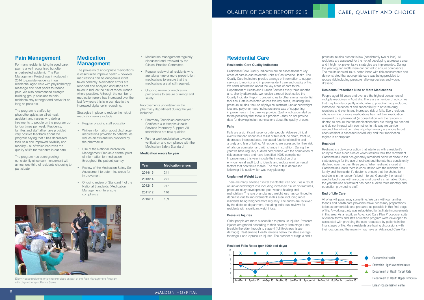# **Pain Management**

For many residents living in aged care, pain is a well recognised but often undertreated epidemic. The Pain Management Project was introduced in 2014 to provide residents in our residential aged care with physiotherapy, massage and heat packs to reduce pain. We also commenced strength building group sessions to help residents stay stronger and active for as long as possible.

- Medication management regularly discussed and reviewed by the Clinical Practice Committee.
- Regular review of all residents who are taking nine or more prescription medications to ensure that the medications are all still required.
- Ongoing review of medication procedures to ensure currency and safety.

The program is staffed by physiotherapists, an allied health assistant and nurses who deliver treatments to people on the program up to four times per week. Residents, families and staff alike have provided very positive feedback about the program saying that it has decreased their pain and improved flexibility and mobility – all of which improves the quality of life for residents in our care.

- Pharmacy Technician completed Certificate 3 in Hospital/Health Services Pharmacy Support. All technicians are now qualified.
- Further work undertaken towards verification and compliance with the Medication Safety Standard.

The program has been growing consistently since commencement with almost one third of residents choosing to participate.

- Regular ongoing staff education.
- Written information about discharge medications provided to patients, as well as an explanation provided by the pharmacist.
- Use of the National Medication Management Plan as a central point of information for medication throughout the patient journey.
- **Review of the Medication Safety Self** Assessment to determine areas for improvement.
- Ongoing review of Standard 4 of the National Standards (Medication Management), to ensure compliance.

Improvements undertaken in the pharmacy department during the year included:

## **Medication errors by year**

# **Medication Management**

The provision of appropriate medications is essential to improve health – however medications can be dangerous if not taken correctly. Medication errors are reported and analysed and steps are taken to reduce the risk of reoccurrence where possible. Although the number of medication errors has increased over the last few years this is in part due to the increased vigilance in recording.

Strategies in place to reduce the risk of medication errors include:



Ellery House residents enjoying exercises as part of the Pain Management Program with physiotherapist Karine Styles.

| Year    | <b>Medication errors</b> |
|---------|--------------------------|
| 2014/15 | 241                      |
| 2013/14 | 271                      |
| 2012/13 | 217                      |
| 2011/12 | 140                      |
| 2010/11 |                          |

# **Residential Care**

### **Residential Care Quality Indicators**

Residential Care Quality Indicators are an assessment of key areas of care in our residential units at Castlemaine Health. The Quality Care Indicators provide a range of information to support services to monitor and improve resident care and quality of life. We send information about the key areas of care to the Department of Health and Human Services every three months and, shortly afterwards, we receive a report back called the Quality Indicator Report, comparing us to other similar residential facilities. Data is collected across five key areas, including falls, pressure injuries, the use of physical restraint, unplanned weight loss and polypharmacy. Indicators are a way of supporting improvements in the care we provide. Quality indicators alert us to the possibility that there is a problem – they do not provide data for drawing instant conclusions about the quality of care.

## **Falls**

Falls are a significant issue for older people. Adverse clinical events that can occur as a result of falls include death, fracture, decreased independence, increased functional decline and anxiety and fear of falling. All residents are assessed for their risk of falls on admission and with change in condition. During the year we have regulary audited compliance with the completion of risk assessments and have identified 100% compliance. Improvements this year include the introduction of an environmental audit tool to identify and reduce environmental factors that contribute to falls. The rate of falls decreased following this audit which was very pleasing.

### **Unplanned Weight Loss**

There are many adverse clinical events that can occur as a result of unplanned weight loss including increased risk of hip fractures, pressure injury development, poor wound healing and malnutrition. The rate of unplanned weight loss has continued to decrease due to improvements in this area, including more residents being weighed more regularly. The audits are reviewed by the dietetics department, including individual reviews for residents with significant weight loss.

### **Pressure Injuries**

Older people are more susceptible to pressure injuries. Pressure injuries are graded according to their severity from stage 1 (no break in the skin) through to stage 4 (full thickness tissue damage). Castlemaine Health remains below the state average for stage 1 and 2 pressure injuries. The number of stage 3 and 4

pressure injuries present is low (consistently two or less). All residents are assessed for the risk of developing a pressure ulcer and if high risk preventative strategies are implemented. During the year regular audits were conducted to ensure compliance. The results showed 100% compliance with risk assessments and demonstrated that appropriate care was being provided to reduce risk including pressure relieving devices and wound dressing.

## **Residents Prescribed Nine or More Medications**

People aged 65 years and over are the highest consumers of multiple medicines in Australia. There are a number of outcomes that may be fully or partly attributable to polypharmacy, including increased incidence of and susceptibility to adverse drug reactions and events and increased risk of falls. Every resident who is on nine or more medications has had their medication reviewed by a pharmacist (in consultation with the resident's doctor) to ensure that the medications they are taking are needed and do not interact with each other. In this way we can be assured that whilst our rates of polypharmacy are above target each resident is assessed individually and their medication regime is appropriate.

### **Restraint**

Restraint is a device or action that interferes with a resident's ability to make a decision or which restricts their free movement. Castlemaine Health has generally remained below or close to the state average for the use of restraint and the rate has consistently declined over the past three years. When restraint is used at Castlemaine Health there is consultation with the resident, their family and the resident's doctor to ensure that the choice to restrain is in the resident's best interest. Generally the restraint used is bed sides with an occasional use of a chair table. During the year the use of restraint has been audited three monthly and education provided to staff.

## **End of Life Care**

All of us will pass away some time. We can, with our families, friends and health care providers make necessary preparations to be as comfortable and prepared as possible in this final stage of life. A working party was established to facilitate improvements in this area. As a result, an Advanced Care Plan Procedure, suite of clinical forms and staff education program were developed to assist staff with providing the care requested by patients in the final stages of life. More residents are having discussions with their doctors and the majority now have an Advanced Care Plan.

### **Resident Falls Rates (per 1000 bed days)**

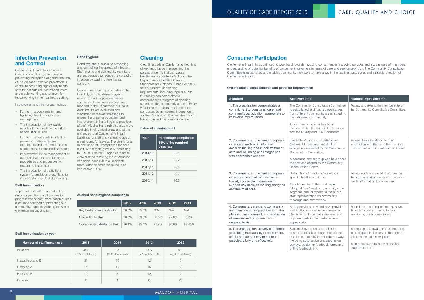# **Infection Prevention and Control**

Castlemaine Health has an active infection control program aimed at preventing the spread of germs that may cause disease. Infection prevention is central to providing high quality health care for patients/residents/consumers and a safe working environment for those working in the healthcare setting.

Improvements within the year include:

- Further improvements in hand hygiene, cleaning and waste management.
- The introduction of new safety needles to help reduce the risk of needle stick injuries.
- Further improvements in infection prevention with single use tourniquets and the introduction of alcohol hand rub in aged care areas.
- Improvement in the management of outbreaks with the fine tuning of procedures and processes for managing these risks.
- The introduction of traffic light system for antibiotic prescribing to improve Antimicrobial Stewardship.

## **Staff Immunisation**

To protect our staff from contracting illnesses we offer a staff vaccination program free of cost. Vaccination of staff is an important part of protecting our community, especially during the winter with Influenza vaccination.

# **Cleaning**

Cleanliness within Castlemaine Health is of key importance in preventing the spread of germs that can cause healthcare associated infections. The Department of Health's Cleaning Standards for Victorian Public Hospitals sets out minimum cleaning requirements, including regular audits. Our facility has established a comprehensive program of cleaning schedules that is regularly audited. Every year there is a minimum of one audit conducted by an external independent auditor. Once again Castlemaine Health has surpassed the compliance rate.

## **Hand Hygiene**

Hand hygiene is crucial to preventing and controlling the spread of infection. Staff, clients and community members are encouraged to reduce the spread of infection by washing their hands correctly.

Castlemaine Health participates in the Hand Hygiene Australia program whereby hand hygiene audits are conducted three times per year and reported to the Department of Health. Audit results are evaluated and discussed at relevant meetings to ensure the ongoing education and improvement in hand hygiene practices of staff. Alcohol hand rub dispensers are available in all clinical areas and at the entrances to all Castlemaine Health buildings for staff and visitors to use on entering and/or leaving. The aim is for a minimum of 78% compliance for each audit, with targets gradually increasing to 80% in June 2015. Aged care areas were audited following the introduction of alcohol hand rub in all residents' room, with the compliance result an impressive 100%.

| Number of staff immunised | 2015                        | 2014                        | 2013                        | 2012                        |
|---------------------------|-----------------------------|-----------------------------|-----------------------------|-----------------------------|
| Influenza                 | 482<br>(76% of total staff) | 392<br>(61% of total staff) | 325<br>(55% of total staff) | 303<br>(43% of total staff) |
| Hepatitis A and B         | 31                          | 50                          | 12                          | $\Omega$                    |
| Hepatitis A               | 14                          | 10                          | 15                          |                             |
| Hepatitis B               | 10                          | 5                           | 12                          | $\mathcal{P}$               |
| <b>Boostrix</b>           | $\bigcirc$                  |                             |                             | 26                          |

|                                     | 2015  | 2014  | 2013  | 2012  | 2011   |
|-------------------------------------|-------|-------|-------|-------|--------|
| Key Performance Indicator           | 80.0% | 75.0% | N/A   | N/A   | N/A    |
| Geroe Acute Unit                    | 80.0% | 83.3% | 85.0% | 77.8% | 78.2%  |
| <b>Connolly Rehabilitation Unit</b> | 96.1% | 95.1% | 77.9% | 80.6% | 88.45% |

| Year    | Percentage compliance<br>85% is the required<br>pass rate |  |
|---------|-----------------------------------------------------------|--|
| 2014/15 | 95.1                                                      |  |
| 2013/14 | 95.2                                                      |  |
| 2012/13 | 95.9                                                      |  |
| 2011/12 | 96.2                                                      |  |
| 2010/11 | 96.6                                                      |  |

## **Audited hand hygiene compliance**

### **Staff immunisation by year**

### **External cleaning audit**

# **Consumer Participation**

Castlemaine Health has continued to work hard towards involving consumers in improving services and increasing staff members' understanding of potential benefits of consumer involvement in terms of care and service provision. The Community Consultation Committee is established and enables community members to have a say in the facilities, processes and strategic direction of Castlemaine Health.

| <b>Standard</b>                                                                                                                                                                        | <b>Achievements</b>                                                                                                                                                                                                                                                      | <b>Planned improvements</b>                                                                                                                                                           |
|----------------------------------------------------------------------------------------------------------------------------------------------------------------------------------------|--------------------------------------------------------------------------------------------------------------------------------------------------------------------------------------------------------------------------------------------------------------------------|---------------------------------------------------------------------------------------------------------------------------------------------------------------------------------------|
| 1. The organisation demonstrates a<br>commitment to consumer, carer and<br>community participation appropriate to<br>its diverse communities.                                          | The Community Consultation Committee<br>is established and has representatives<br>from different community areas including<br>the indigenous community.<br>A community member has been<br>included within the Clinical Governance<br>and the Quality and Risk Committee. | Review and extend the membership of<br>the Community Consultative Committee.                                                                                                          |
| 2. Consumers and, where appropriate,<br>carers are involved in informed<br>decision making about their treatment,<br>care and wellbeing at all stages and<br>with appropriate support. | See table Monitoring of Satisfaction<br>(below). All consumer satisfaction<br>surveys are reviewed by the Community<br>Consultation Committee.<br>A consumer focus group was held about<br>the services offered by the Community<br>Rehabilitation Centre.               | Survey clients in relation to their<br>satisfaction with their and their family's<br>involvement in their treatment and care.                                                         |
| 3. Consumers, and, where appropriate,<br>carers are provided with evidence-<br>based, accessible information to<br>support key decision-making along the<br>continuum of care.         | Distribution of handouts/leaflets on<br>specific health conditions.<br>Regular articles in the local paper,<br>'Hospital food' weekly community radio<br>segment, annual reports to the public,<br>staff representation on community<br>meetings and committees.         | Review evidence based resources on<br>the Intranet and procedure for providing<br>health information to consumers.                                                                    |
| 4. Consumers, carers and community<br>members are active participants in the<br>planning, improvement, and evaluation<br>of services and programs on an<br>ongoing basis.              | All key services provided have provided<br>satisfaction or experience surveys to<br>clients which have been analysed and<br>improvements implemented where<br>appropriate.                                                                                               | Extend the use of experience surveys<br>through increased promotion and<br>monitoring of response rates.                                                                              |
| 5. The organisation actively contributes<br>to building the capacity of consumers,<br>carers and community members to<br>participate fully and effectively.                            | Systems have been established to<br>ensure feedback is sought from clients<br>and the community in a number of ways,<br>including satisfaction and experience<br>surveys, customer feedback forms and<br>online feedback link.                                           | Increase public awareness of the ability<br>to participate in the service through an<br>article in the local newspaper.<br>Include consumers in the orientation<br>program for staff. |

### **Organisational achievements and plans for improvement**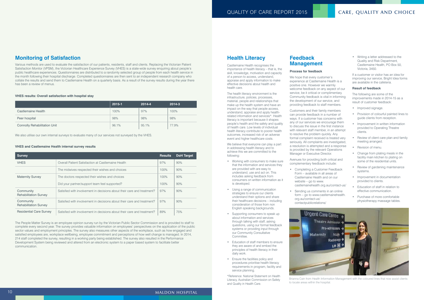# **Monitoring of Satisfaction**

Various methods are used to evaluate the satisfaction of our patients, residents, staff and clients. Replacing the Victorian Patient Satisfaction Monitor (VPSM), the Victorian Healthcare Experience Survey (VHES) is a state-wide survey enquiring about people's public healthcare experiences. Questionnaires are distributed to a randomly selected group of people from each health service in the month following their hospital discharge. Completed questionnaires are then sent to an independent research company who collate the results and send them to Castlemaine Health on a quarterly basis. As a result of the survey results during the year there has been a review of menus.

The People Matter Survey is an employee opinion survey run by the Victorian Public Sector Commission and is provided to staff to complete every second year. The survey provides valuable information on employees' perspectives on the application of the public sector values and employment principles. The survey also measures other aspects of the workplace, such as how engaged and satisfied employees are, workplace wellbeing, employee commitment and perceptions of how well change is managed. In 2014, 214 staff completed the survey, resulting in a working party being established. The survey also resulted in the Performance Development System being reviewed and altered from an electronic system to a paper based system to facilitate better communication.

Castlemaine Health recognises the importance of health literacy – that is, the skill, knowledge, motivation and capacity of a person to access, understand, appraise and apply information to make effective decisions about health and health care.

|                                     | 2015-1 | 2014-4 | 2014-3 |
|-------------------------------------|--------|--------|--------|
| Castlemaine Health                  | 100%   | 97%    | 100%   |
| Peer hospital                       | 98%    | 98%    | 98%    |
| <b>Connolly Rehabilitation Unit</b> | 96.1%  | 95.1%  | 77.9%  |

| <b>Survey</b>                             |                                                                         | <b>Results</b> | <b>DoH</b> Target |
|-------------------------------------------|-------------------------------------------------------------------------|----------------|-------------------|
| <b>VHES</b>                               | Overall Patient Satisfaction at Castlemaine Health                      | 97%            | 90%               |
|                                           | The midwives respected their wishes and choices                         | 100%           | 90%               |
| <b>Maternity Survey</b>                   | The doctors respected their wishes and choices                          | 100%           | 90%               |
|                                           | Did your partner/support team feel supported?                           | 100%           | 90%               |
| Community<br><b>Rehabilitation Survey</b> | Satisfied with involvement in decisions about their care and treatment? | 97%            | 90%               |
| Community<br><b>Rehabilitation Survey</b> | Satisfied with involvement in decisions about their care and treatment? | 97%            | 90%               |
| <b>Residential Care Survey</b>            | Satisfied with involvement in decisions about their care and treatment? | 89%            | 75%               |

### **VHES results: Overall satisfaction with hospital stay**

### **VHES and Castlemaine Health internal survey results**

We hope that every customer's experience at Castlemaine Health is a positive one. However we warmly welcome feedback on any aspect of our service, be it critical or complimentary. Community feedback is vital in informing the development of our service, and providing feedback to staff members.

We also utilise our own internal surveys to evaluate many of our services not surveyed by the VHES.

# **Health Literacy**

The health literacy environment is the infrastructure, policies, processes, material, people and relationships that make up the health system and have an impact on the way that people access, understand, appraise and apply healthrelated information and services\*. Health literacy is important because it shapes people's health and the safety and quality of health care. Low levels of individual health literacy contribute to poorer health outcomes, increased risk of an adverse event and higher healthcare costs.

- Improved signage.
- Provision of colourful painted lines to guide clients from reception.
- Improvement in written information provided to Operating Theatre clients.
- Review of client care plan and family meeting arranged.
- Revision of menu.
- Change from plating meals in the facility main kitchen to plating on some of the residential units.
- Review of gardening maintenance systems.
- Improvement in documentation provided to clients.
- Fducation of staff in relation to effective communication.
- Purchase of more comfortable physiotherapy massage tables.

We believe that everyone can play a part in addressing health literacy and to achieve this we are committed to the following:

- • Working with consumers to make sure that the information and services they are provided with are easy to understand, use and act on. This includes asking feedback from consumers on written information as it is developed.
- Using a range of communication strategies to ensure our clients understand their options and share their healthcare decisions – including consideration of those from non English speaking backgrounds.
- Supporting consumers to speak up about information and services through talking with staff, asking questions, using our formal feedback systems or providing input through our Community Consultative Committee.
- Education of staff members to ensure they are aware of and embed the principles of health literacy in their daily work.
- Ensure the facilities policy and procedures prioritise health literacy requirements in program, facility and service planning.

\*Reference: National Statement on Health Literacy, Australian Commission on Safety and Quality in Health Care.

# **Feedback Management**

## **Process for feedback**

Customers and their family members can provide feedback in a number of ways. If a customer has concerns with any of our services we encourage them to discuss the issue in the first instance with relevant staff member, in an attempt to resolve the problem quickly. Any formal complaint received is treated very seriously. All complaints are investigated, a resolution is attempted and a response is provided by the relevant Operations Manager or Executive Director.

Avenues for providing both critical and complementary feedback include:

- • Completing a Customer Feedback Form – available in all areas of Castlemaine Health and on our website – go to www. castlemainehealth.org.au/contact-us/
- Sending us comments in an online form – go to www.castlemainehealth. org.au/contact-us/ contactpublicrelations/

• Writing a letter addressed to the Quality and Risk Department, Castlemaine Health, PO Box 50, Victoria, 3450.

If a customer or visitor has an idea for improving our service, Bright Idea forms are available in the cafeteria.

## **Result of feedback**

The following are some of the improvements made in 2014-15 as a result of customer feedback:



Brianna Cain from Health Information Management with the coloured lines that now assist clients to locate areas within the hospital.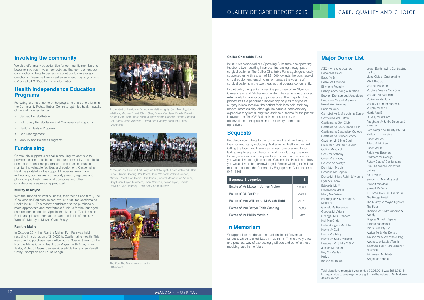# **Involving the community**

We also offer many opportunities for community members to become involved in volunteer activities that complement our care and contribute to decisions about our future strategic directions. Please visit www.castlemaineheath.org.au/contactus/ or call 5471 1505 for more information.

- • Cardiac Rehabilitation
- Pulmonary Rehabilitation and Maintenance Programs
- Healthy Lifestyle Program
- Pain Management
- Mobility and Balance Programs

# **Health Independence Education Programs**

Following is a list of some of the programs offered to clients in the Community Rehabilitation Centre to optimise health, quality of life and independence:

# **Fundraising**

Community support is critical in ensuring we continue to provide the best possible care for our community. In particular donations, sponsorships, grants and bequests assist in maintaining valuable facilities and equipment. Castlemaine Health is grateful for the support it receives from many individuals, businesses, community groups, legacies and philanthropic trusts. Financial donations and other contributions are greatly appreciated.

## **Murray to Moyne**

With the support of local business, their friends and family, the 'Castlemaine Rouleurs' raised over \$14,000 for Castlemaine Health in 2015. This money contributed to the purchase of more appropriate and comfortable furniture for the four aged care residences on site. Special thanks to the 'Castlemaine Rouleurs', pictured here at the start and finish of the 2015 Woody's Murray to Moyne Cycle Relay.

### **Run the Maine**

In October 2014 the 'Run the Maine' Fun Run was held, resulting in a donation of \$10,000 to Castlemaine Health. This was used to purchase new defibrillators. Special thanks to the Run the Maine Committee: Libby Mayes, Ruth Anley, Fran Taylor, Richard Mayes, Jaynee Russell-Clarke, Stacey Rewell, Cathy Thompson and Laura Keogh.



At the start of the ride in Echuca are (left to right): Sam Murphy, John Whitlock, Michael Priest, Chris Shay, Bryan Maddern, Emeile Dawkins, Keiran Ryan, Ben Priest, Mick Murphy, Adam Goodes, Simon Gearing, Carl Harris, John Weinrich, David Boak, Jenny Boak, Phil Priest, Gary Bunn.



At the jubilant finish in Port Fairy are (left to right): Peter Mahlstedt, Ben Priest, Simon Gearing, Phil Priest, John Whitlock, Adam Goodes, Michael Priest, Carl Harris, Dan Tehan (Federal Member for Wannon), Gary Bunn, Bryan Maddern, John Weinrich, Keiran Ryan, Emeile Dawkins, Mick Murphy, Chris Shay, Sam Murphy.



The Run The Maine mascot at the 2014 event.

### **Collier Charitable Fund**

In 2014 we expanded our Operating Suite from one operating theatre to two, resulting in an ever increasing throughput of surgical patients. The Collier Charitable Fund again generously supported us, with a grant of \$31,000 towards the purchase of critical equipment, enabling us to manage the volume of surgical patients in the two theatres that operate concurrently.

In particular, the grant enabled the purchase of an Olympus Camera lead and GE Patient monitor. The camera lead is used extensively for laparoscopic procedures. The majority of our procedures are performed laparoscopically as this type of surgery is less invasive, the patient feels less pain and they recover more quickly. Although the camera leads are very expensive they last a long time and the outcome for the patient is favourable. The GE Patient Monitor screens vital observations of the patient in the recovery room postoperatively.

# **Bequests**

People can contribute to the future health and wellbeing of their community by including Castlemaine Health in their Will. Gifting the local health service is a very practical and longlasting way to support the community – including, possibly, future generations of family and friends. You can decide how you would like your gift to benefit Castlemaine Health and how you would like to be acknowledged. People wishing to find out more can contact the Community Engagement Coordinator on 5471 1505.

# **In Memoriam**

We appreciate the donations made in lieu of flowers at funerals, which totalled \$2,201 in 2014-15. This is a very direct and practical way of expressing gratitude and benefits those receiving care in the future.

| <b>Bequests &amp; Legacies</b>        | S       |
|---------------------------------------|---------|
| Estate of Mr Malcolm James Archer     | 870,000 |
| Estate of GL Godfree                  | 2,490   |
| Estate of Mrs Williamina McBeath-Todd | 2.371   |
| Estate of Mrs Bettye Edith Canning    | 1000    |
| Estate of Mr Phillip McAlpin          |         |

ASQ – All stone quarries Barker Ms Carol Baud Mr B Beare Ms Gwenda Billman's Foundry Bishop Accounting & Taxation Bowlen, Dunstan and Associates Bradshaw Mr and Mrs Alan Broad Mrs Beverley Bunn Mr Gary Campbel Mr & Mrs John & Elaine Cantwells Real Estate Castlemaine Golf Club Castlemaine Lawn Tennis Club Castlemaine Secondary College Castlemaine Steiner School Cawthan Mr & Mrs Cecil Clark Mr & Mrs Ian & Judith Collins Ms Carol Cook Mr Anthony Cross Mrs Tracey Dalrene on Mostyn Denniston Ms Liz Dessens Ms Sophie Dunse Mr & Mrs Robin & Yvonne Dyer Ms Jenny Edwards Ms M Edwardson Mrs D Ellery Mrs Wilma Farthing Mr & Mrs Eddie & Mariorie Garnett Ms Penelope Goodes Mr Adam Grainger Mrs Elizabeth Hall Mrs Chris Hallett-Odgers Ms Julie Harris Mr Carl Harris Mrs Mary Harris Mr & Mrs Malcolm Heagney Mr & Mrs M & M Jensen Mr Robin Kay Ms Marilyn Kelly J Kidson Mr Barrie

Leech Earthmoving Contracting Pty Ltd Lions Club of Castlemaine MAHRA Club Marriott Ms Jane McClure Messrs Gary & Ian McClure Mr Malcolm McKenzie Ms Judy Mount Alexander Funerals Murphy Mr Mick Norris Mrs E O'Reilly Mr William Padgham Mr & Mrs Douglas & **Beverley** Perplexing New Reality Pty Ltd Phillips Mrs Lorraine Priest Mr Ben Priest Mr Michael Priest Mr Phil Ralph Mrs Beverley Redfearn Mr George Rotary Club of Castlemaine Run The Maine Committee Saines Scutt Mrs F Seedsman Mrs Margaret Stewart Mrs Joan Stewart Ms Vera T I Cross T/AS EST Boutique The Bridge Hotel The Murray to Moyne Cyclists The Pups Thomas Mr & Mrs Graeme & **Wendy** Tingays Smash Repairs Tomato Fundraiser Tonks Bros Pty Ltd Walker Mr & Mrs Donald Watson Mr & Mrs Wes & Peg Wednesday Ladies Tennis Weatherall Mr & Mrs William & Florence Williamson Mr Martin Wright Mr Robbie

# **Major Donor List**

Total donations receipted year ended 30/06/2015 was \$966,042 (in large part due to a very generous gift from the Estate of Mr Malcolm James Archer).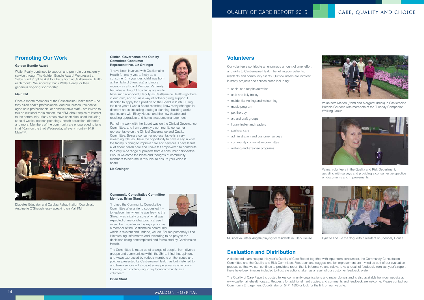# **Promoting Our Work**

### **Golden Bundle Award**

Waller Realty continues to support and promote our maternity service through The Golden Bundle Award. We present a 'baby bundle' gift basket to a baby born at Castlemaine Health each month. We sincerely thank Waller Realty for their generous ongoing sponsorship.

### **Main FM**

Once a month members of the Castlemaine Health team – be they allied health professionals, doctors, nurses, residential aged care professionals, or administrative staff – are invited to talk on our local radio station, MainFM, about topics of interest to the community. Many areas have been discussed including special weeks, speech pathology, health education, diabetes and more. Members of the community are encouraged to tune in at 10am on the third Wednesday of every month – 94.9 MainFM.

### **Clinical Governance and Quality Committee Consumer Representative, Liz Grainger**

"I have been involved with Castlemaine Health for many years, firstly as a consumer (my youngest child was born at the Halford Street site) and more recently as a Board Member. My family had always thought how lucky we are to



have such a wonderful facility as Castlemaine Health right here in our town, and so, as a way of actively giving support, I decided to apply for a position on the Board in 2006. During the nine years I was a Board member, I saw many changes in different areas, including strategic planning, building works (particularly with Ellery House, and the new theatre and resulting upgrades) and human resource management.

Part of my work with the Board was on the Clinical Governance Committee, and I am currently a community consumer representative on the Clinical Governance and Quality Committee. Being a consumer representative is a very rewarding role, as I have the opportunity to have a say in what the facility is doing to improve care and services. I have learnt a lot about health care and I have felt empowered to contribute to a very wide range of projects from a consumer perspective. I would welcome the ideas and thoughts of community members to help me in this role, to ensure your voice is heard."

**Liz Grainger**

### **Community Consultative Committee Member, Brian Stant**

- • social and respite activities
- cafe and lolly trolley
- residential visiting and welcoming
- music program
- pet therapy
- art and craft groups
- • library trolley and readers
- • pastoral care
- administration and customer surveys
- • community consultative committee
- walking and exercise programs

"I joined the Community Consultative Committee after a friend suggested it – to replace him, when he was leaving the Shire. I was initially unsure of what was expected of me or what practical use I would be. I now know it is my opinion as a member of the Castlemaine community



which is relevant and, indeed, valued. For me personally I find it interesting, informative and rewarding to be privy to the decisions being contemplated and formulated by Castlemaine Health.

The Committee is made up of a range of people, from diverse groups and communities within the Shire. I find that opinions and views expressed by various members on the issues and policies presented by Castlemaine Health, as both listened to and taken seriously. I also get some personal satisfaction in knowing I am contributing to my local community as a volunteer."

**Brian Stant**



Diabetes Educator and Cardiac Rehabilitation Coordinator Antoinette O'Shaughnessy speaking on MainFM.

Volunteers Marion (front) and Margaret (back) in Castlemaine Botanic Gardens with members of the Tuesday Companion Walking Group.





Musical volunteer Angela playing for residents in Ellery House.

Valmai volunteers in the Quality and Risk Department, assisting with surveys and providing a consumer perspective on documents and improvements.



Lynette and Tia the dog, with a resident of Spencely House.

# **Evaluation and Distribution**

A dedicated team has put this year's Quality of Care Report together with input from consumers, the Community Consultation Committee and the Quality and Risk Committee. Feedback and suggestions for improvement are invited as part of our evaluation process so that we can continue to provide a report that is informative and relevant. As a result of feedback from last year's report there have been images included to illustrate actions taken as a result of our customer feedback system.

The Quality of Care Report is posted to key community organisations and major donors and is also available from our website at www.castlemainehealth.org.au. Requests for additional hard copies, and comments and feedback are welcome. Please contact our Community Engagement Coordinator on 5471 1505 or look for the link on our website.

# 14 MALDON HOSPITAL



# **Volunteers**

Our volunteers contribute an enormous amount of time, effort and skills to Castlemaine Health, benefiting our patients, residents and community clients. Our volunteers are involved in many projects and service areas including: